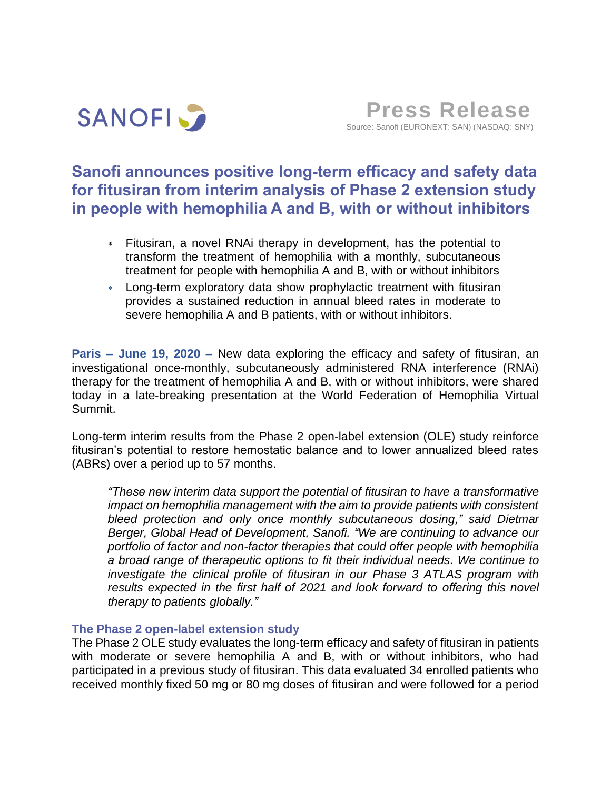

**Press Release** Source: Sanofi (EURONEXT: SAN) (NASDAQ: SNY)

# **Sanofi announces positive long-term efficacy and safety data for fitusiran from interim analysis of Phase 2 extension study in people with hemophilia A and B, with or without inhibitors**

- Fitusiran, a novel RNAi therapy in development, has the potential to transform the treatment of hemophilia with a monthly, subcutaneous treatment for people with hemophilia A and B, with or without inhibitors
- Long-term exploratory data show prophylactic treatment with fitusiran provides a sustained reduction in annual bleed rates in moderate to severe hemophilia A and B patients, with or without inhibitors.

**Paris – June 19, 2020 –** New data exploring the efficacy and safety of fitusiran, an investigational once-monthly, subcutaneously administered RNA interference (RNAi) therapy for the treatment of hemophilia A and B, with or without inhibitors, were shared today in a late-breaking presentation at the World Federation of Hemophilia Virtual Summit.

Long-term interim results from the Phase 2 open-label extension (OLE) study reinforce fitusiran's potential to restore hemostatic balance and to lower annualized bleed rates (ABRs) over a period up to 57 months.

*"These new interim data support the potential of fitusiran to have a transformative impact on hemophilia management with the aim to provide patients with consistent bleed protection and only once monthly subcutaneous dosing," said Dietmar Berger, Global Head of Development, Sanofi. "We are continuing to advance our portfolio of factor and non-factor therapies that could offer people with hemophilia a broad range of therapeutic options to fit their individual needs. We continue to investigate the clinical profile of fitusiran in our Phase 3 ATLAS program with results expected in the first half of 2021 and look forward to offering this novel therapy to patients globally."*

### **The Phase 2 open-label extension study**

The Phase 2 OLE study evaluates the long-term efficacy and safety of fitusiran in patients with moderate or severe hemophilia A and B, with or without inhibitors, who had participated in a previous study of fitusiran. This data evaluated 34 enrolled patients who received monthly fixed 50 mg or 80 mg doses of fitusiran and were followed for a period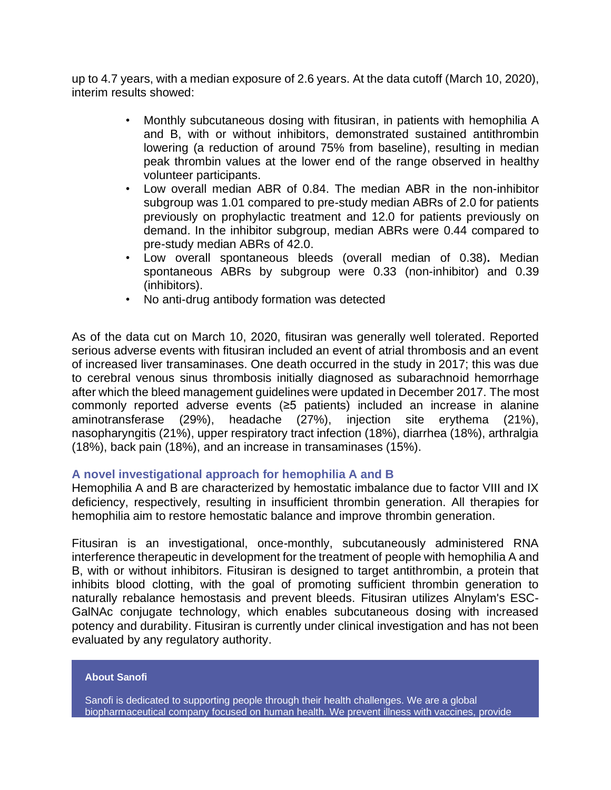up to 4.7 years, with a median exposure of 2.6 years. At the data cutoff (March 10, 2020), interim results showed:

- Monthly subcutaneous dosing with fitusiran, in patients with hemophilia A and B, with or without inhibitors, demonstrated sustained antithrombin lowering (a reduction of around 75% from baseline), resulting in median peak thrombin values at the lower end of the range observed in healthy volunteer participants.
- Low overall median ABR of 0.84. The median ABR in the non-inhibitor subgroup was 1.01 compared to pre-study median ABRs of 2.0 for patients previously on prophylactic treatment and 12.0 for patients previously on demand. In the inhibitor subgroup, median ABRs were 0.44 compared to pre-study median ABRs of 42.0.
- Low overall spontaneous bleeds (overall median of 0.38)**.** Median spontaneous ABRs by subgroup were 0.33 (non-inhibitor) and 0.39 (inhibitors).
- No anti-drug antibody formation was detected

As of the data cut on March 10, 2020, fitusiran was generally well tolerated. Reported serious adverse events with fitusiran included an event of atrial thrombosis and an event of increased liver transaminases. One death occurred in the study in 2017; this was due to cerebral venous sinus thrombosis initially diagnosed as subarachnoid hemorrhage after which the bleed management guidelines were updated in December 2017. The most commonly reported adverse events (≥5 patients) included an increase in alanine aminotransferase (29%), headache (27%), injection site erythema (21%), nasopharyngitis (21%), upper respiratory tract infection (18%), diarrhea (18%), arthralgia (18%), back pain (18%), and an increase in transaminases (15%).

## **A novel investigational approach for hemophilia A and B**

Hemophilia A and B are characterized by hemostatic imbalance due to factor VIII and IX deficiency, respectively, resulting in insufficient thrombin generation. All therapies for hemophilia aim to restore hemostatic balance and improve thrombin generation.

Fitusiran is an investigational, once-monthly, subcutaneously administered RNA interference therapeutic in development for the treatment of people with hemophilia A and B, with or without inhibitors. Fitusiran is designed to target antithrombin, a protein that inhibits blood clotting, with the goal of promoting sufficient thrombin generation to naturally rebalance hemostasis and prevent bleeds. Fitusiran utilizes Alnylam's ESC-GalNAc conjugate technology, which enables subcutaneous dosing with increased potency and durability. Fitusiran is currently under clinical investigation and has not been evaluated by any regulatory authority.

#### **About Sanofi**

Sanofi is dedicated to supporting people through their health challenges. We are a global biopharmaceutical company focused on human health. We prevent illness with vaccines, provide